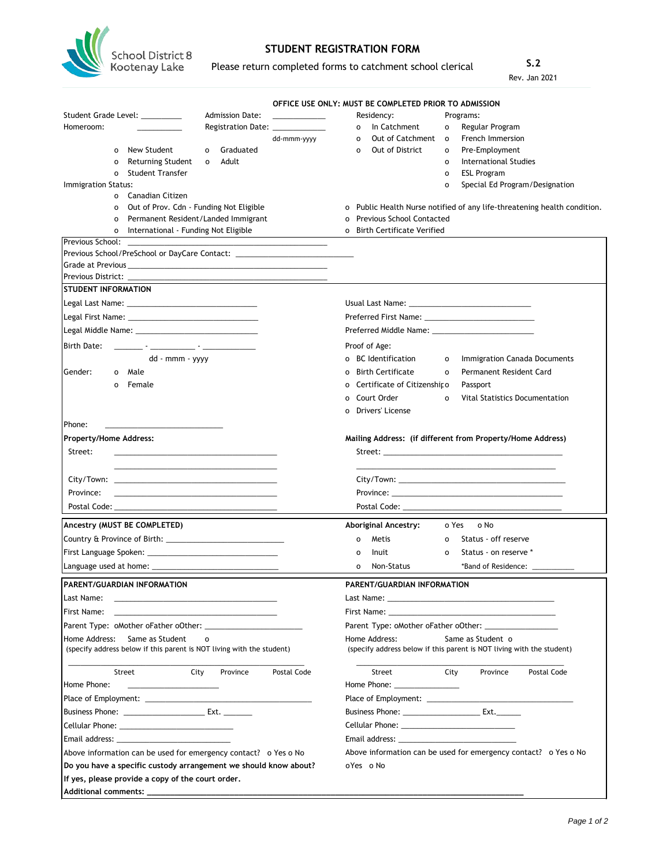

**Additional comments: \_\_\_\_\_\_\_\_\_\_\_\_\_\_\_\_\_\_\_\_\_\_\_\_\_\_\_\_\_\_\_\_\_\_\_\_\_\_\_\_\_\_\_\_\_\_\_\_\_\_\_\_\_\_\_\_\_\_\_\_\_\_\_\_\_\_\_\_\_\_\_\_\_\_\_\_\_\_\_\_\_\_**

## **STUDENT REGISTRATION FORM**

Please return completed forms to catchment school clerical

**S.2** Rev. Jan 2021

|                                                                                                                                                                                                                               |                                 |             |                              | OFFICE USE ONLY: MUST BE COMPLETED PRIOR TO ADMISSION                                                                                                                                                                          |                   |                                            |             |
|-------------------------------------------------------------------------------------------------------------------------------------------------------------------------------------------------------------------------------|---------------------------------|-------------|------------------------------|--------------------------------------------------------------------------------------------------------------------------------------------------------------------------------------------------------------------------------|-------------------|--------------------------------------------|-------------|
| Student Grade Level: _________<br>Homeroom:                                                                                                                                                                                   | <b>Admission Date:</b>          |             |                              | Residency:                                                                                                                                                                                                                     |                   | Programs:                                  |             |
|                                                                                                                                                                                                                               | Registration Date: ____________ |             | 0                            | o In Catchment<br>Out of Catchment                                                                                                                                                                                             | 0<br>$\mathbf{o}$ | Regular Program<br><b>French Immersion</b> |             |
| New Student<br>$\Omega$<br>O                                                                                                                                                                                                  | Graduated                       | dd-mmm-yyyy | $\mathbf{o}$                 | Out of District                                                                                                                                                                                                                | 0                 | Pre-Employment                             |             |
| Returning Student<br>o<br>$\mathbf 0$                                                                                                                                                                                         | Adult                           |             |                              |                                                                                                                                                                                                                                | o                 | International Studies                      |             |
| <b>Student Transfer</b><br>0                                                                                                                                                                                                  |                                 |             |                              |                                                                                                                                                                                                                                | 0                 | <b>ESL Program</b>                         |             |
| Immigration Status:                                                                                                                                                                                                           |                                 |             |                              |                                                                                                                                                                                                                                | o                 | Special Ed Program/Designation             |             |
| o Canadian Citizen                                                                                                                                                                                                            |                                 |             |                              |                                                                                                                                                                                                                                |                   |                                            |             |
| Out of Prov. Cdn - Funding Not Eligible<br>$\mathbf{o}$                                                                                                                                                                       |                                 |             |                              | o Public Health Nurse notified of any life-threatening health condition.                                                                                                                                                       |                   |                                            |             |
| Permanent Resident/Landed Immigrant<br>0                                                                                                                                                                                      |                                 |             | 0                            | <b>Previous School Contacted</b>                                                                                                                                                                                               |                   |                                            |             |
| International - Funding Not Eligible<br>0                                                                                                                                                                                     |                                 |             | o Birth Certificate Verified |                                                                                                                                                                                                                                |                   |                                            |             |
| Previous School:                                                                                                                                                                                                              |                                 |             |                              |                                                                                                                                                                                                                                |                   |                                            |             |
| Previous School/PreSchool or DayCare Contact: __________________________________                                                                                                                                              |                                 |             |                              |                                                                                                                                                                                                                                |                   |                                            |             |
|                                                                                                                                                                                                                               |                                 |             |                              |                                                                                                                                                                                                                                |                   |                                            |             |
|                                                                                                                                                                                                                               |                                 |             |                              |                                                                                                                                                                                                                                |                   |                                            |             |
| <b>STUDENT INFORMATION</b>                                                                                                                                                                                                    |                                 |             |                              |                                                                                                                                                                                                                                |                   |                                            |             |
|                                                                                                                                                                                                                               |                                 |             |                              |                                                                                                                                                                                                                                |                   |                                            |             |
|                                                                                                                                                                                                                               |                                 |             |                              |                                                                                                                                                                                                                                |                   |                                            |             |
|                                                                                                                                                                                                                               |                                 |             |                              |                                                                                                                                                                                                                                |                   |                                            |             |
|                                                                                                                                                                                                                               |                                 |             | Proof of Age:                |                                                                                                                                                                                                                                |                   |                                            |             |
| dd - mmm - yyyy                                                                                                                                                                                                               |                                 |             |                              | o BC Identification                                                                                                                                                                                                            | o                 | Immigration Canada Documents               |             |
| Gender:<br>o Male                                                                                                                                                                                                             |                                 |             | $\Omega$                     | <b>Birth Certificate</b>                                                                                                                                                                                                       | $\mathbf{o}$      | <b>Permanent Resident Card</b>             |             |
| Female<br>$\Omega$                                                                                                                                                                                                            |                                 |             |                              | Certificate of Citizenship o                                                                                                                                                                                                   |                   |                                            |             |
|                                                                                                                                                                                                                               |                                 |             | 0                            |                                                                                                                                                                                                                                |                   | Passport                                   |             |
|                                                                                                                                                                                                                               |                                 |             | O                            | Court Order                                                                                                                                                                                                                    | $\Omega$          | Vital Statistics Documentation             |             |
|                                                                                                                                                                                                                               |                                 |             | $\Omega$                     | Drivers' License                                                                                                                                                                                                               |                   |                                            |             |
| Phone:                                                                                                                                                                                                                        |                                 |             |                              |                                                                                                                                                                                                                                |                   |                                            |             |
| <b>Property/Home Address:</b>                                                                                                                                                                                                 |                                 |             |                              | Mailing Address: (if different from Property/Home Address)                                                                                                                                                                     |                   |                                            |             |
| Street:<br><u> 1989 - Johann Stein, markin fan de Frysk kampen fan de ferstjer fan de ferstjer fan de ferstjer fan de ferstj</u>                                                                                              |                                 |             |                              |                                                                                                                                                                                                                                |                   |                                            |             |
|                                                                                                                                                                                                                               |                                 |             |                              |                                                                                                                                                                                                                                |                   |                                            |             |
|                                                                                                                                                                                                                               |                                 |             |                              |                                                                                                                                                                                                                                |                   |                                            |             |
| Province:<br><u> 1980 - Jan James James Barnett, amerikansk politik (d. 1980)</u>                                                                                                                                             |                                 |             |                              |                                                                                                                                                                                                                                |                   |                                            |             |
|                                                                                                                                                                                                                               |                                 |             |                              |                                                                                                                                                                                                                                |                   |                                            |             |
|                                                                                                                                                                                                                               |                                 |             |                              |                                                                                                                                                                                                                                |                   |                                            |             |
|                                                                                                                                                                                                                               |                                 |             |                              | Aboriginal Ancestry:                                                                                                                                                                                                           |                   |                                            |             |
|                                                                                                                                                                                                                               |                                 |             |                              |                                                                                                                                                                                                                                | o Yes             | o No                                       |             |
|                                                                                                                                                                                                                               |                                 |             | 0                            | Metis                                                                                                                                                                                                                          | 0                 | Status - off reserve                       |             |
|                                                                                                                                                                                                                               |                                 |             | 0                            | Inuit                                                                                                                                                                                                                          | O                 | Status - on reserve *                      |             |
|                                                                                                                                                                                                                               |                                 |             | $\mathbf 0$                  | Non-Status                                                                                                                                                                                                                     |                   | *Band of Residence:                        |             |
|                                                                                                                                                                                                                               |                                 |             |                              |                                                                                                                                                                                                                                |                   |                                            |             |
|                                                                                                                                                                                                                               |                                 |             |                              | PARENT/GUARDIAN INFORMATION                                                                                                                                                                                                    |                   |                                            |             |
| <u> 1989 - Andrea Stadt Britain, amerikansk politiker (</u>                                                                                                                                                                   |                                 |             |                              |                                                                                                                                                                                                                                |                   |                                            |             |
|                                                                                                                                                                                                                               |                                 |             |                              | First Name: The contract of the contract of the contract of the contract of the contract of the contract of the contract of the contract of the contract of the contract of the contract of the contract of the contract of th |                   |                                            |             |
| Ancestry (MUST BE COMPLETED)<br>PARENT/GUARDIAN INFORMATION<br>Last Name:<br>First Name:                                                                                                                                      |                                 |             |                              |                                                                                                                                                                                                                                |                   |                                            |             |
| Same as Student<br>$\circ$                                                                                                                                                                                                    |                                 |             |                              | Home Address:                                                                                                                                                                                                                  |                   | Same as Student o                          |             |
|                                                                                                                                                                                                                               |                                 |             |                              | (specify address below if this parent is NOT living with the student)                                                                                                                                                          |                   |                                            |             |
| Street<br>City                                                                                                                                                                                                                | Province                        | Postal Code |                              | Street                                                                                                                                                                                                                         | City              | Province                                   | Postal Code |
|                                                                                                                                                                                                                               |                                 |             |                              | Home Phone: __________________                                                                                                                                                                                                 |                   |                                            |             |
|                                                                                                                                                                                                                               |                                 |             |                              |                                                                                                                                                                                                                                |                   |                                            |             |
|                                                                                                                                                                                                                               |                                 |             |                              |                                                                                                                                                                                                                                |                   |                                            |             |
| Home Address:<br>(specify address below if this parent is NOT living with the student)<br>Home Phone:<br>Business Phone: _________________________________ Ext. _________<br>Cellular Phone: ________________________________ |                                 |             |                              |                                                                                                                                                                                                                                |                   |                                            |             |
| Email address: the contract of the contract of the contract of the contract of the contract of the contract of                                                                                                                |                                 |             |                              | Email address: the contract of the contract of the contract of the contract of the contract of the contract of the contract of the contract of the contract of the contract of the contract of the contract of the contract of |                   |                                            |             |